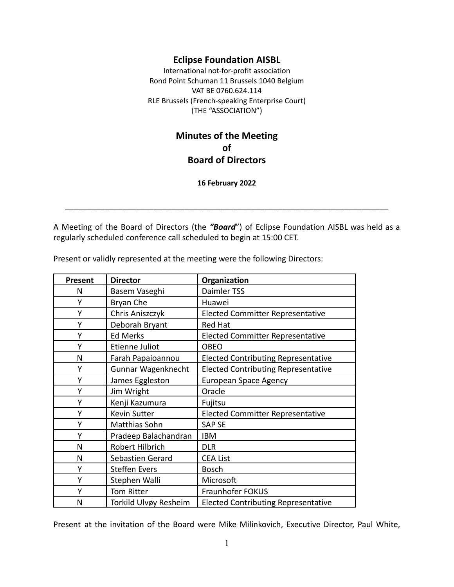## **Eclipse Foundation AISBL**

International not-for-profit association Rond Point Schuman 11 Brussels 1040 Belgium VAT BE 0760.624.114 RLE Brussels (French-speaking Enterprise Court) (THE "ASSOCIATION")

# **Minutes of the Meeting of Board of Directors**

**16 February 2022**

\_\_\_\_\_\_\_\_\_\_\_\_\_\_\_\_\_\_\_\_\_\_\_\_\_\_\_\_\_\_\_\_\_\_\_\_\_\_\_\_\_\_\_\_\_\_\_\_\_\_\_\_\_\_\_\_\_\_\_\_\_\_\_\_\_\_\_\_\_\_\_\_\_

A Meeting of the Board of Directors (the *"Board*") of Eclipse Foundation AISBL was held as a regularly scheduled conference call scheduled to begin at 15:00 CET.

Present or validly represented at the meeting were the following Directors:

| <b>Present</b> | <b>Director</b>       | Organization                               |
|----------------|-----------------------|--------------------------------------------|
| N              | Basem Vaseghi         | Daimler TSS                                |
| Y              | Bryan Che             | Huawei                                     |
| Y              | Chris Aniszczyk       | <b>Elected Committer Representative</b>    |
| Υ              | Deborah Bryant        | <b>Red Hat</b>                             |
| Υ              | <b>Ed Merks</b>       | <b>Elected Committer Representative</b>    |
| Y              | Etienne Juliot        | <b>OBEO</b>                                |
| N              | Farah Papaioannou     | <b>Elected Contributing Representative</b> |
| Υ              | Gunnar Wagenknecht    | <b>Elected Contributing Representative</b> |
| Y              | James Eggleston       | <b>European Space Agency</b>               |
| Υ              | Jim Wright            | Oracle                                     |
| Υ              | Kenji Kazumura        | Fujitsu                                    |
| Υ              | <b>Kevin Sutter</b>   | <b>Elected Committer Representative</b>    |
| Υ              | Matthias Sohn         | <b>SAP SE</b>                              |
| Y              | Pradeep Balachandran  | <b>IBM</b>                                 |
| N              | Robert Hilbrich       | <b>DLR</b>                                 |
| N              | Sebastien Gerard      | <b>CEA List</b>                            |
| Y              | <b>Steffen Evers</b>  | <b>Bosch</b>                               |
| Υ              | Stephen Walli         | Microsoft                                  |
| Υ              | <b>Tom Ritter</b>     | Fraunhofer FOKUS                           |
| N              | Torkild Ulvøy Resheim | <b>Elected Contributing Representative</b> |

Present at the invitation of the Board were Mike Milinkovich, Executive Director, Paul White,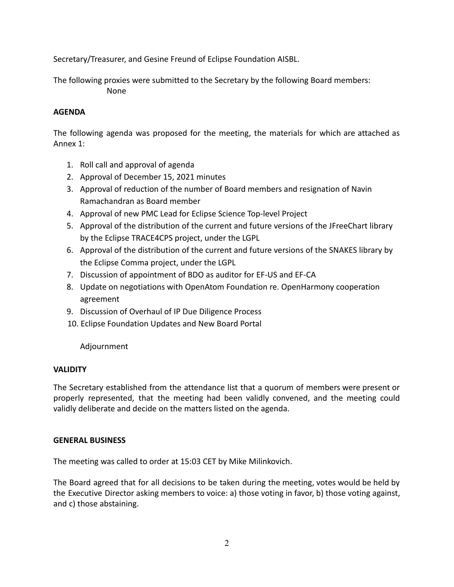Secretary/Treasurer, and Gesine Freund of Eclipse Foundation AISBL.

The following proxies were submitted to the Secretary by the following Board members: None

## **AGENDA**

The following agenda was proposed for the meeting, the materials for which are attached as Annex 1:

- 1. Roll call and approval of agenda
- 2. Approval of December 15, 2021 minutes
- 3. Approval of reduction of the number of Board members and resignation of Navin Ramachandran as Board member
- 4. Approval of new PMC Lead for Eclipse Science Top-level Project
- 5. Approval of the distribution of the current and future versions of the JFreeChart library by the Eclipse TRACE4CPS project, under the LGPL
- 6. Approval of the distribution of the current and future versions of the SNAKES library by the Eclipse Comma project, under the LGPL
- 7. Discussion of appointment of BDO as auditor for EF-US and EF-CA
- 8. Update on negotiations with OpenAtom Foundation re. OpenHarmony cooperation agreement
- 9. Discussion of Overhaul of IP Due Diligence Process
- 10. Eclipse Foundation Updates and New Board Portal

## Adjournment

#### **VALIDITY**

The Secretary established from the attendance list that a quorum of members were present or properly represented, that the meeting had been validly convened, and the meeting could validly deliberate and decide on the matters listed on the agenda.

#### **GENERAL BUSINESS**

The meeting was called to order at 15:03 CET by Mike Milinkovich.

The Board agreed that for all decisions to be taken during the meeting, votes would be held by the Executive Director asking members to voice: a) those voting in favor, b) those voting against, and c) those abstaining.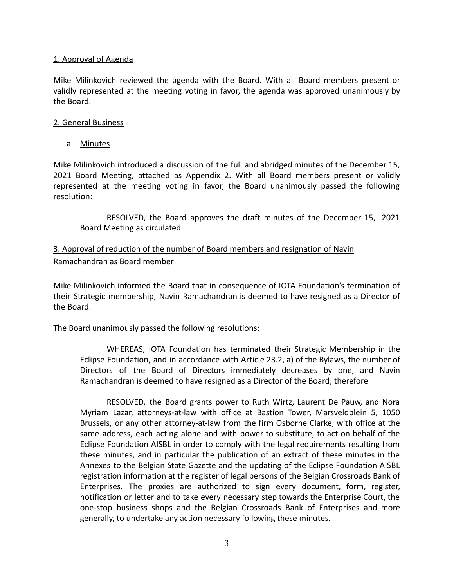#### 1. Approval of Agenda

Mike Milinkovich reviewed the agenda with the Board. With all Board members present or validly represented at the meeting voting in favor, the agenda was approved unanimously by the Board.

#### 2. General Business

a. Minutes

Mike Milinkovich introduced a discussion of the full and abridged minutes of the December 15, 2021 Board Meeting, attached as Appendix 2. With all Board members present or validly represented at the meeting voting in favor, the Board unanimously passed the following resolution:

RESOLVED, the Board approves the draft minutes of the December 15, 2021 Board Meeting as circulated.

## 3. Approval of reduction of the number of Board members and resignation of Navin Ramachandran as Board member

Mike Milinkovich informed the Board that in consequence of IOTA Foundation's termination of their Strategic membership, Navin Ramachandran is deemed to have resigned as a Director of the Board.

The Board unanimously passed the following resolutions:

WHEREAS, IOTA Foundation has terminated their Strategic Membership in the Eclipse Foundation, and in accordance with Article 23.2, a) of the Bylaws, the number of Directors of the Board of Directors immediately decreases by one, and Navin Ramachandran is deemed to have resigned as a Director of the Board; therefore

RESOLVED, the Board grants power to Ruth Wirtz, Laurent De Pauw, and Nora Myriam Lazar, attorneys-at-law with office at Bastion Tower, Marsveldplein 5, 1050 Brussels, or any other attorney-at-law from the firm Osborne Clarke, with office at the same address, each acting alone and with power to substitute, to act on behalf of the Eclipse Foundation AISBL in order to comply with the legal requirements resulting from these minutes, and in particular the publication of an extract of these minutes in the Annexes to the Belgian State Gazette and the updating of the Eclipse Foundation AISBL registration information at the register of legal persons of the Belgian Crossroads Bank of Enterprises. The proxies are authorized to sign every document, form, register, notification or letter and to take every necessary step towards the Enterprise Court, the one-stop business shops and the Belgian Crossroads Bank of Enterprises and more generally, to undertake any action necessary following these minutes.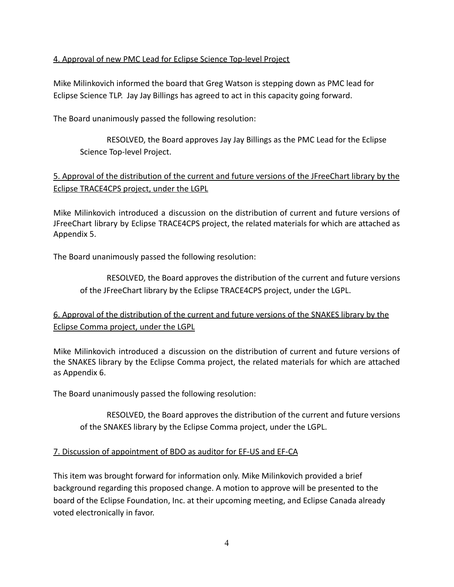## 4. Approval of new PMC Lead for Eclipse Science Top-level Project

Mike Milinkovich informed the board that Greg Watson is stepping down as PMC lead for Eclipse Science TLP. Jay Jay Billings has agreed to act in this capacity going forward.

The Board unanimously passed the following resolution:

RESOLVED, the Board approves Jay Jay Billings as the PMC Lead for the Eclipse Science Top-level Project.

# 5. Approval of the distribution of the current and future versions of the JFreeChart library by the Eclipse TRACE4CPS project, under the LGPL

Mike Milinkovich introduced a discussion on the distribution of current and future versions of JFreeChart library by Eclipse TRACE4CPS project, the related materials for which are attached as Appendix 5.

The Board unanimously passed the following resolution:

RESOLVED, the Board approves the distribution of the current and future versions of the JFreeChart library by the Eclipse TRACE4CPS project, under the LGPL.

# 6. Approval of the distribution of the current and future versions of the SNAKES library by the Eclipse Comma project, under the LGPL

Mike Milinkovich introduced a discussion on the distribution of current and future versions of the SNAKES library by the Eclipse Comma project, the related materials for which are attached as Appendix 6.

The Board unanimously passed the following resolution:

RESOLVED, the Board approves the distribution of the current and future versions of the SNAKES library by the Eclipse Comma project, under the LGPL.

## 7. Discussion of appointment of BDO as auditor for EF-US and EF-CA

This item was brought forward for information only. Mike Milinkovich provided a brief background regarding this proposed change. A motion to approve will be presented to the board of the Eclipse Foundation, Inc. at their upcoming meeting, and Eclipse Canada already voted electronically in favor.